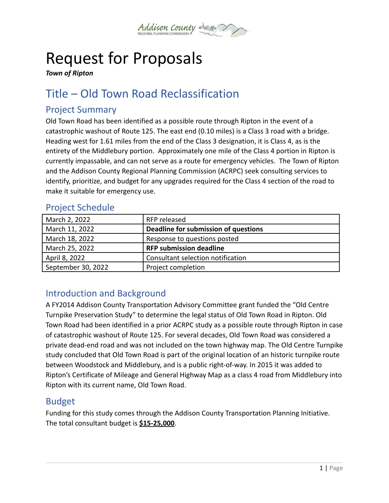

# Request for Proposals

*Town of Ripton*

# Title – Old Town Road Reclassification

#### Project Summary

Old Town Road has been identified as a possible route through Ripton in the event of a catastrophic washout of Route 125. The east end (0.10 miles) is a Class 3 road with a bridge. Heading west for 1.61 miles from the end of the Class 3 designation, it is Class 4, as is the entirety of the Middlebury portion. Approximately one mile of the Class 4 portion in Ripton is currently impassable, and can not serve as a route for emergency vehicles. The Town of Ripton and the Addison County Regional Planning Commission (ACRPC) seek consulting services to identify, prioritize, and budget for any upgrades required for the Class 4 section of the road to make it suitable for emergency use.

#### Project Schedule

| March 2, 2022      | RFP released                         |
|--------------------|--------------------------------------|
| March 11, 2022     | Deadline for submission of questions |
| March 18, 2022     | Response to questions posted         |
| March 25, 2022     | <b>RFP submission deadline</b>       |
| April 8, 2022      | Consultant selection notification    |
| September 30, 2022 | Project completion                   |

#### Introduction and Background

A FY2014 Addison County Transportation Advisory Committee grant funded the "Old Centre Turnpike Preservation Study" to determine the legal status of Old Town Road in Ripton. Old Town Road had been identified in a prior ACRPC study as a possible route through Ripton in case of catastrophic washout of Route 125. For several decades, Old Town Road was considered a private dead-end road and was not included on the town highway map. The Old Centre Turnpike study concluded that Old Town Road is part of the original location of an historic turnpike route between Woodstock and Middlebury, and is a public right-of-way. In 2015 it was added to Ripton's Certificate of Mileage and General Highway Map as a class 4 road from Middlebury into Ripton with its current name, Old Town Road.

#### Budget

Funding for this study comes through the Addison County Transportation Planning Initiative. The total consultant budget is **\$15-25,000**.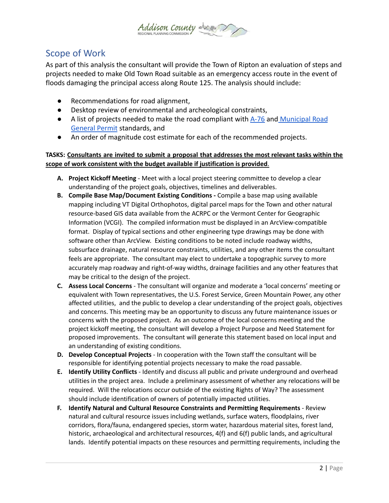

### Scope of Work

As part of this analysis the consultant will provide the Town of Ripton an evaluation of steps and projects needed to make Old Town Road suitable as an emergency access route in the event of floods damaging the principal access along Route 125. The analysis should include:

- Recommendations for road alignment,
- Desktop review of environmental and archeological constraints,
- A list of projects needed to make the road compliant with [A-76](https://outside.vermont.gov/agency/vtrans/external/CADD/WebFiles/Downloads/Standards/English/PDF/stda76.pdf) and [Municipal Road](https://www.vlct.org/sites/default/files/Town%20Road%20and%20Bridge%20Standards%20fillable%20form.pdf) [General Permit](https://www.vlct.org/sites/default/files/Town%20Road%20and%20Bridge%20Standards%20fillable%20form.pdf) standards, and
- An order of magnitude cost estimate for each of the recommended projects.

#### **TASKS: Consultants are invited to submit a proposal that addresses the most relevant tasks within the scope of work consistent with the budget available if justification is provided**.

- **A. Project Kickoff Meeting** Meet with a local project steering committee to develop a clear understanding of the project goals, objectives, timelines and deliverables.
- **B. Compile Base Map/Document Existing Conditions -** Compile a base map using available mapping including VT Digital Orthophotos, digital parcel maps for the Town and other natural resource-based GIS data available from the ACRPC or the Vermont Center for Geographic Information (VCGI). The compiled information must be displayed in an ArcView-compatible format. Display of typical sections and other engineering type drawings may be done with software other than ArcView. Existing conditions to be noted include roadway widths, subsurface drainage, natural resource constraints, utilities, and any other items the consultant feels are appropriate. The consultant may elect to undertake a topographic survey to more accurately map roadway and right-of-way widths, drainage facilities and any other features that may be critical to the design of the project.
- **C. Assess Local Concerns** The consultant will organize and moderate a 'local concerns' meeting or equivalent with Town representatives, the U.S. Forest Service, Green Mountain Power, any other affected utilities, and the public to develop a clear understanding of the project goals, objectives and concerns. This meeting may be an opportunity to discuss any future maintenance issues or concerns with the proposed project. As an outcome of the local concerns meeting and the project kickoff meeting, the consultant will develop a Project Purpose and Need Statement for proposed improvements. The consultant will generate this statement based on local input and an understanding of existing conditions.
- **D. Develop Conceptual Projects** In cooperation with the Town staff the consultant will be responsible for identifying potential projects necessary to make the road passable.
- **E. Identify Utility Conflicts** Identify and discuss all public and private underground and overhead utilities in the project area. Include a preliminary assessment of whether any relocations will be required. Will the relocations occur outside of the existing Rights of Way? The assessment should include identification of owners of potentially impacted utilities.
- **F. Identify Natural and Cultural Resource Constraints and Permitting Requirements** Review natural and cultural resource issues including wetlands, surface waters, floodplains, river corridors, flora/fauna, endangered species, storm water, hazardous material sites, forest land, historic, archaeological and architectural resources, 4(f) and 6(f) public lands, and agricultural lands. Identify potential impacts on these resources and permitting requirements, including the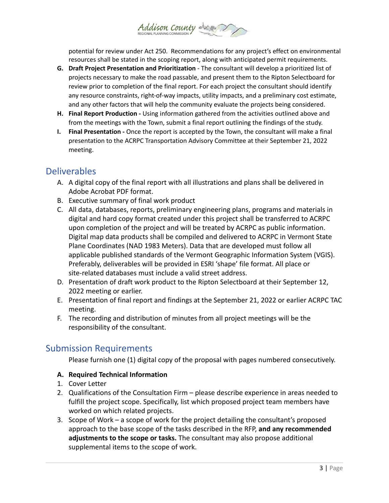

potential for review under Act 250. Recommendations for any project's effect on environmental resources shall be stated in the scoping report, along with anticipated permit requirements.

- **G. Draft Project Presentation and Prioritization** The consultant will develop a prioritized list of projects necessary to make the road passable, and present them to the Ripton Selectboard for review prior to completion of the final report. For each project the consultant should identify any resource constraints, right-of-way impacts, utility impacts, and a preliminary cost estimate, and any other factors that will help the community evaluate the projects being considered.
- **H. Final Report Production -** Using information gathered from the activities outlined above and from the meetings with the Town, submit a final report outlining the findings of the study.
- **I. Final Presentation -** Once the report is accepted by the Town, the consultant will make a final presentation to the ACRPC Transportation Advisory Committee at their September 21, 2022 meeting.

#### Deliverables

- A. A digital copy of the final report with all illustrations and plans shall be delivered in Adobe Acrobat PDF format.
- B. Executive summary of final work product
- C. All data, databases, reports, preliminary engineering plans, programs and materials in digital and hard copy format created under this project shall be transferred to ACRPC upon completion of the project and will be treated by ACRPC as public information. Digital map data products shall be compiled and delivered to ACRPC in Vermont State Plane Coordinates (NAD 1983 Meters). Data that are developed must follow all applicable published standards of the Vermont Geographic Information System (VGIS). Preferably, deliverables will be provided in ESRI 'shape' file format. All place or site-related databases must include a valid street address.
- D. Presentation of draft work product to the Ripton Selectboard at their September 12, 2022 meeting or earlier.
- E. Presentation of final report and findings at the September 21, 2022 or earlier ACRPC TAC meeting.
- F. The recording and distribution of minutes from all project meetings will be the responsibility of the consultant.

#### Submission Requirements

Please furnish one (1) digital copy of the proposal with pages numbered consecutively.

#### **A. Required Technical Information**

- 1. Cover Letter
- 2. Qualifications of the Consultation Firm please describe experience in areas needed to fulfill the project scope. Specifically, list which proposed project team members have worked on which related projects.
- 3. Scope of Work a scope of work for the project detailing the consultant's proposed approach to the base scope of the tasks described in the RFP, **and any recommended adjustments to the scope or tasks.** The consultant may also propose additional supplemental items to the scope of work.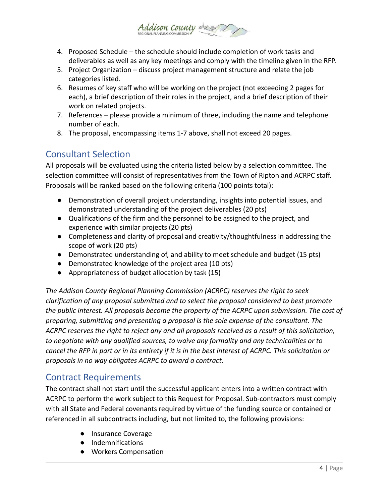

- 4. Proposed Schedule the schedule should include completion of work tasks and deliverables as well as any key meetings and comply with the timeline given in the RFP.
- 5. Project Organization discuss project management structure and relate the job categories listed.
- 6. Resumes of key staff who will be working on the project (not exceeding 2 pages for each), a brief description of their roles in the project, and a brief description of their work on related projects.
- 7. References please provide a minimum of three, including the name and telephone number of each.
- 8. The proposal, encompassing items 1-7 above, shall not exceed 20 pages.

## Consultant Selection

All proposals will be evaluated using the criteria listed below by a selection committee. The selection committee will consist of representatives from the Town of Ripton and ACRPC staff. Proposals will be ranked based on the following criteria (100 points total):

- Demonstration of overall project understanding, insights into potential issues, and demonstrated understanding of the project deliverables (20 pts)
- Qualifications of the firm and the personnel to be assigned to the project, and experience with similar projects (20 pts)
- Completeness and clarity of proposal and creativity/thoughtfulness in addressing the scope of work (20 pts)
- Demonstrated understanding of, and ability to meet schedule and budget (15 pts)
- Demonstrated knowledge of the project area (10 pts)
- Appropriateness of budget allocation by task (15)

*The Addison County Regional Planning Commission (ACRPC) reserves the right to seek clarification of any proposal submitted and to select the proposal considered to best promote the public interest. All proposals become the property of the ACRPC upon submission. The cost of preparing, submitting and presenting a proposal is the sole expense of the consultant. The ACRPC reserves the right to reject any and all proposals received as a result of this solicitation, to negotiate with any qualified sources, to waive any formality and any technicalities or to cancel the RFP in part or in its entirety if it is in the best interest of ACRPC. This solicitation or proposals in no way obligates ACRPC to award a contract.*

#### Contract Requirements

The contract shall not start until the successful applicant enters into a written contract with ACRPC to perform the work subject to this Request for Proposal. Sub-contractors must comply with all State and Federal covenants required by virtue of the funding source or contained or referenced in all subcontracts including, but not limited to, the following provisions:

- Insurance Coverage
- Indemnifications
- Workers Compensation